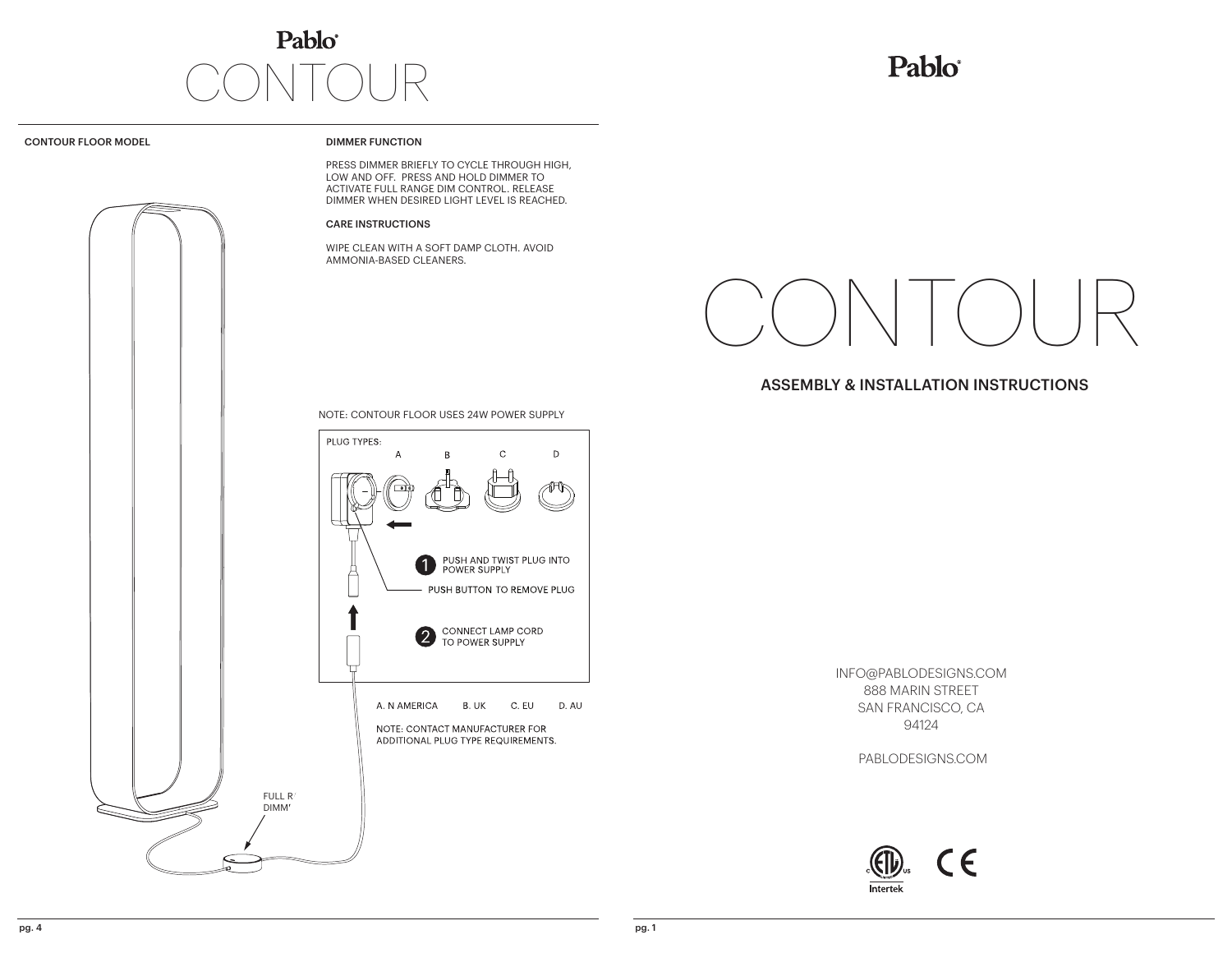# Pablo® CONTOUR

# Pablo®

CONTOUR FLOOR MODEL

## DIMMER FUNCTION

PRESS DIMMER BRIEFLY TO CYCLE THROUGH HIGH, LOW AND OFF. PRESS AND HOLD DIMMER TO ACTIVATE FULL RANGE DIM CONTROL. RELEASE DIMMER WHEN DESIRED LIGHT LEVEL IS REACHED.

#### CARE INSTRUCTIONS

WIPE CLEAN WITH A SOFT DAMP CLOTH. AVOID AMMONIA-BASED CLEANERS.



# ASSEMBLY & INSTALLATION INSTRUCTIONS

NOTE: CONTOUR FLOOR USES 24W POWER SUPPLY



INFO@PABLODESIGNS.COM 888 MARIN STREET SAN FRANCISCO, CA 94124

PABLODESIGNS.COM